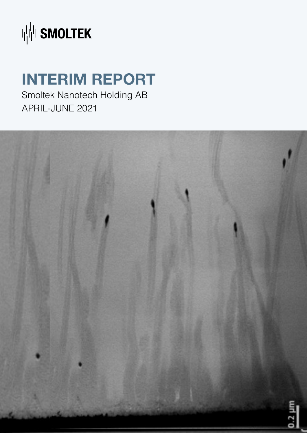

## **INTERIM REPORT**

Smoltek Nanotech Holding AB APRIL-JUNE 2021

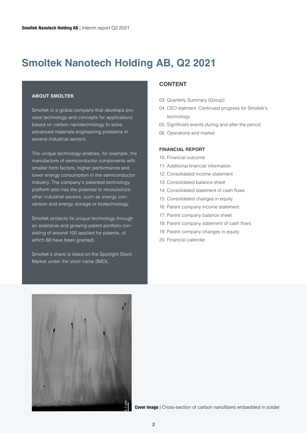### **Smoltek Nanotech Holding AB, Q2 2021**

#### **ABOUT SMOLTEK**

Smoltek is a global company that develops process technology and concepts for applications based on carbon nanotechnology to solve advanced materials engineering problems in several industrial sectors.

The unique technology enables, for example, the manufacture of semiconductor components with smaller form factors, higher performance and lower energy consumption in the semiconductor industry. The company's patented technology platform also has the potential to revolutionize other industrial sectors, such as energy conversion and energy storage or biotechnology.

Smoltek protects its unique technology through an extensive and growing patent portfolio consisting of around 100 applied for patents, of which 68 have been granted.

Smoltek's share is listed on the Spotlight Stock Market under the short name SMOL.

#### **CONTENT**

- 03. Quarterly Summary (Group)
- 04. CEO statment: Continued progress for Smoltek's technology
- 05. Significant events during and after the period
- 06. Operations and market

#### **FINANCIAL REPORT**

- 10. Financial outcome
- 11. Additional financial information
- 12. Consolidated income statement
- 13. Consolidated balance sheet
- 14. Consolidated statement of cash flows
- 15. Consolidated changes in equity
- 16. Parent company income statement
- 17. Parent company balance sheet
- 18. Parent company statement of cash flows
- 19. Parent company changes in equity
- 20. Financial calendar



**Cover image** | Cross-section of carbon nanofibers embedded in solder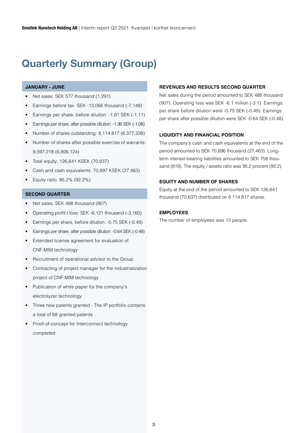### **Quarterly Summary (Group)**

#### **JANUARY - JUNE**

- Net sales: SEK 577 thousand (1,291)
- Earnings before tax: SEK -13,066 thousand (-7,148)
- Earnings per share, before dilution: -1.61 SEK (-1.11)
- Earnings per share, after possible dilution: -1.36 SEK (-1.08)
- Number of shares outstanding: 8,114,817 (6,377,338)
- Number of shares after possible exercise of warrants: 9,597,218 (6,806,124)
- Total equity: 126,641 KSEK (70,637)
- Cash and cash equivalents: 70,897 KSEK (27,463)
- Equity ratio: 95.2% (92.2%)

#### **SECOND QUARTER**

- Net sales: SEK 488 thousand (907)
- Operating profit / loss: SEK -6,121 thousand (-3,160)
- Earnings per share, before dilution: -0.75 SEK (-0.49)
- Earnings per share, after possible dilution: -0.64 SEK (-0.48)
- Extended license agreement for evaluation of CNF-MIM technology
- Recruitment of operational advisor to the Group
- Contracting of project manager for the industrialization project of CNF-MIM technology
- Publication of white paper for the company's electrolyzer technology
- Three new patents granted The IP portfolio contains a total of 68 granted patents
- Proof-of-concept for Interconnect technology completed

#### **REVENUES AND RESULTS SECOND QUARTER**

Net sales during the period amounted to SEK 488 thousand (907). Operating loss was SEK -6.1 million (-3.1). Earnings per share before dilution were -0.75 SEK (-0.49). Earnings per share after possible dilution were SEK -0.64 SEK (-0.48).

#### **LIQUIDITY AND FINANCIAL POSITION**

The company's cash and cash equivalents at the end of the period amounted to SEK 70,896 thousand (27,463). Longterm interest-bearing liabilities amounted to SEK 758 thousand (819). The equity / assets ratio was 95.2 procent (92.2).

#### **EQUITY AND NUMBER OF SHARES**

Equity at the end of the period amounted to SEK 126,641 thousand (70,637) distributed on 8 114 817 shares.

#### **EMPLOYEES**

The number of employees was 13 people.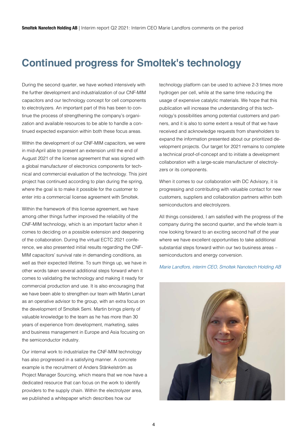### **Continued progress for Smoltek's technology**

During the second quarter, we have worked intensively with the further development and industrialization of our CNF-MIM capacitors and our technology concept for cell components to electrolyzers. An important part of this has been to continue the process of strengthening the company's organization and available resources to be able to handle a continued expected expansion within both these focus areas.

Within the development of our CNF-MIM capacitors, we were in mid-April able to present an extension until the end of August 2021 of the license agreement that was signed with a global manufacturer of electronics components for technical and commercial evaluation of the technology. This joint project has continued according to plan during the spring, where the goal is to make it possible for the customer to enter into a commercial license agreement with Smoltek.

Within the framework of this license agreement, we have among other things further improved the reliability of the CNF-MIM technology, which is an important factor when it comes to deciding on a possible extension and deepening of the collaboration. During the virtual ECTC 2021 conference, we also presented initial results regarding the CNF-MIM capacitors' survival rate in demanding conditions, as well as their expected lifetime. To sum things up, we have in other words taken several additional steps forward when it comes to validating the technology and making it ready for commercial production and use. It is also encouraging that we have been able to strengthen our team with Martin Lenart as an operative advisor to the group, with an extra focus on the development of Smoltek Semi. Martin brings plenty of valuable knowledge to the team as he has more than 30 years of experience from development, marketing, sales and business management in Europe and Asia focusing on the semiconductor industry.

Our internal work to industrialize the CNF-MIM technology has also progressed in a satisfying manner. A concrete example is the recruitment of Anders Stänkelström as Project Manager Sourcing, which means that we now have a dedicated resource that can focus on the work to identify providers to the supply chain. Within the electrolyzer area, we published a whitepaper which describes how our

technology platform can be used to achieve 2-3 times more hydrogen per cell, while at the same time reducing the usage of expensive catalytic materials. We hope that this publication will increase the understanding of this technology's possibilities among potential customers and partners, and it is also to some extent a result of that we have received and acknowledge requests from shareholders to expand the information presented about our prioritized development projects. Our target for 2021 remains to complete a technical proof-of-concept and to initiate a development collaboration with a large-scale manufacturer of electrolyzers or its components.

When it comes to our collaboration with DC Advisory, it is progressing and contributing with valuable contact for new customers, suppliers and collaboration partners within both semiconductors and electrolyzers.

All things considered, I am satisfied with the progress of the company during the second quarter, and the whole team is now looking forward to an exciting second half of the year where we have excellent opportunities to take additional substantial steps forward within our two business areas – semiconductors and energy conversion.

#### *Marie Landfors, interim CEO, Smoltek Nanotech Holding AB*

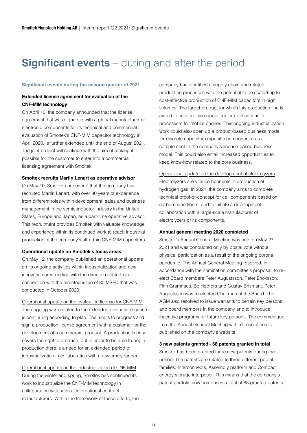### **Significant events** – during and after the period

#### **Significant events during the second quarter of 2021**

#### **Extended license agreement for evaluation of the CNF-MIM technology**

On April 16, the company announced that the license agreement that was signed in with a global manufacturer of electronic components for its technical and commercial evaluation of Smoltek's CNF-MIM capacitor technology in April 2020, is further extended until the end of August 2021. The joint project will continue with the aim of making it possible for the customer to enter into a commercial licensing agreement with Smoltek.

#### **Smoltek recruits Martin Lenart as operative advisor**

On May 10, Smoltek announced that the company has recruited Martin Lenart, with over 30 years of experience from different roles within development, sales and business management in the semiconductor industry in the United States, Europe and Japan, as a part-time operative advisor. This recruitment provides Smoltek with valuable knowledge and experience within its continued work to reach industrial production of the company's ultra-thin CNF-MIM capacitors.

#### **Operational update on Smoltek's focus areas**

On May 12, the company published an operational update on its ongoing activities within industrialization and new innovation areas in line with the direction set forth in connection with the directed issue of 80 MSEK that was conducted in October 2020:

Operational update on the evaluation license for CNF-MIM The ongoing work related to the extended evaluation license is continuing according to plan. The aim is to progress and sign a production license agreement with a customer for the development of a commercial product. A production license covers the right to produce, but in order to be able to begin production there is a need for an extended period of industrialization in collaboration with a customer/partner.

Operational update on the industrialization of CNF-MIM During the winter and spring, Smoltek has continued its work to industrialize the CNF-MIM technology in collaboration with several international contract manufacturers. Within the framework of these efforts, the company has identified a supply chain and related production processes with the potential to be scaled up to cost-effective production of CNF-MIM capacitors in high volumes. The target product for which this production line is aimed for is ultra-thin capacitors for applications in processors for mobile phones. This ongoing industrialization work could also open up a product-based business model for discrete capacitors (specific components) as a complement to the company's license-based business model. This could also entail increased opportunities to keep know-how related to the core business.

#### Operational update on the development of electrolyzers Electrolyzers are vital components in production of hydrogen gas. In 2021, the company aims to complete technical proof-of-concept for cell components based on carbon nano fibers, and to initiate a development collaboration with a large-scale manufacturer of electrolyzers or its components.

#### **Annual general meeting 2020 completed**

Smoltek's Annual General Meeting was held on May 27, 2021 and was conducted only by postal vote without physical participation as a result of the ongoing corona pandemic. The Annual General Meeting resolved, in accordance with the nomination committee's proposal, to reelect Board members Peter Augustsson, Peter Enoksson, Finn Gramnaes, Bo Hedfors and Gustav Brismark. Peter Augustsson was re-elected Chairman of the Board. The AGM also resolved to issue warrants to certain key persons and board members in the company and to introduce incentive programs for future key persons. The communique from the Annual General Meeting with all resolutions is published on the company's website.

#### **3 new patents granted - 68 patents granted in total**

Smoltek has been granted three new patents during the period. The patents are related to three different patent families: Interconnects, Assembly platform and Compact energy storage interposer. This means that the company's patent portfolio now comprises a total of 68 granted patents.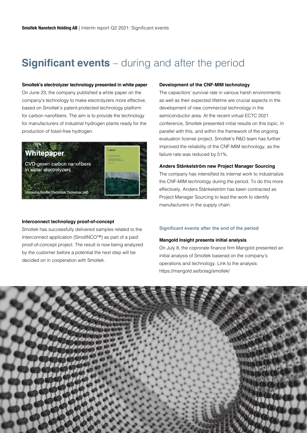### **Significant events** – during and after the period

#### **Smoltek's electrolyzer technology presented in white paper**

On June 23, the company published a white paper on the company's technology to make electrolyzers more effective, based on Smoltek's patent-protected technology platform for carbon nanofibers. The aim is to provide the technology for manufacturers of industrial hydrogen plants ready for the production of fossil-free hydrogen.



#### **Interconnect technology proof-of-concept**

Smoltek has successfully delivered samples related to the Interconnect application (SmolINCO™) as part of a paid proof-of-concept project. The result is now being analyzed by the customer before a potential the next step will be decided on in cooperation with Smoltek.

#### **Development of the CNF-MIM technology**

The capacitors' survival rate in various harsh environments as well as their expected lifetime are crucial aspects in the development of new commercial technology in the semiconductor area. At the recent virtual ECTC 2021 conference, Smoltek presented initial results on this topic. In parallel with this, and within the framework of the ongoing evaluation license project, Smoltek's R&D team has further improved the reliability of the CNF-MIM technology, as the failure rate was reduced by 51%.

#### **Anders Stänkelström new Project Manager Sourcing**

The company has intensified its internal work to industrialize the CNF-MIM technology during the period. To do this more effectively, Anders Stänkelström has been contracted as Project Manager Sourcing to lead the work to identify manufacturers in the supply chain.

#### **Significant events after the end of the period**

#### **Mangold Insight presents initial analysis**

On July 8, the coprorate finance firm Mangold presented an initial analysis of Smoltek baserad on the company's operations and technology. Link to the analysis: https://mangold.se/bolag/smoltek/

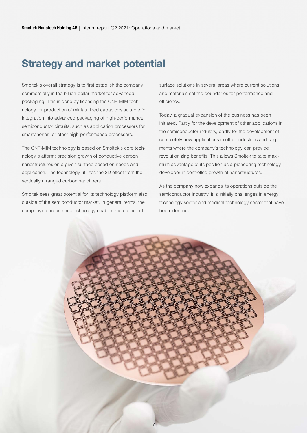### **Strategy and market potential**

Smoltek's overall strategy is to first establish the company commercially in the billion-dollar market for advanced packaging. This is done by licensing the CNF-MIM technology for production of miniaturized capacitors suitable for integration into advanced packaging of high-performance semiconductor circuits, such as application processors for smartphones, or other high-performance processors.

The CNF-MIM technology is based on Smoltek's core technology platform; precision growth of conductive carbon nanostructures on a given surface based on needs and application. The technology utilizes the 3D effect from the vertically arranged carbon nanofibers.

Smoltek sees great potential for its technology platform also outside of the semiconductor market. In general terms, the company's carbon nanotechnology enables more efficient

surface solutions in several areas where current solutions and materials set the boundaries for performance and efficiency.

Today, a gradual expansion of the business has been initiated. Partly for the development of other applications in the semiconductor industry, partly for the development of completely new applications in other industries and segments where the company's technology can provide revolutionizing benefits. This allows Smoltek to take maximum advantage of its position as a pioneering technology developer in controlled growth of nanostructures.

As the company now expands its operations outside the semiconductor industry, it is initially challenges in energy technology sector and medical technology sector that have been identified.

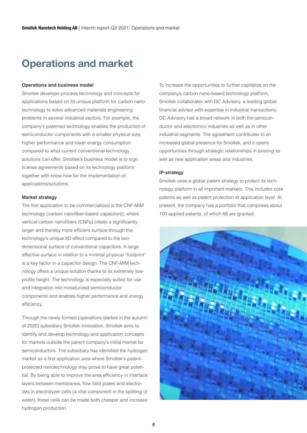### **Operations and market**

#### **Operations and business model**

Smoltek develops process technology and concepts for applications based on its unique platform for carbon nanotechnology to solve advanced materials engineering problems in several industrial sectors. For example, the company's patented technology enables the production of semiconductor components with a smaller physical size, higher performance and lower energy consumption compared to what current conventional technology solutions can offer. Smoltek's business model is to sign license agreements based on its technology platform together with know-how for the implementation of applications/solutions.

#### **Market strategy**

The first application to be commercialized is the CNF-MIM technology (carbon nanofiber-based capacitors), where vertical carbon nanofibers (CNFs) create a significantly larger and thereby more efficient surface through the technology's unique 3D effect compared to the twodimensional surface of conventional capacitors. A large effective surface in relation to a minimal physical "footprint" is a key factor in a capacitor design. The CNF-MIM technology offers a unique solution thanks to its extremely lowprofile height. The technology is especially suited for use and integration into miniaturized semiconductor components and enables higher performance and energy efficiency.

Through the newly formed (operations started in the autumn of 2020) subsidiary Smoltek Innovation, Smoltek aims to identify and develop technology and application concepts for markets outside the parent company's initial market for semiconductors. The subsidiary has identified the hydrogen market as a first application area where Smoltek's patentprotected nanotechnology may prove to have great potential. By being able to improve the area efficiency in interface layers between membranes, flow field plates and electrodes in electrolyzer cells (a vital component in the splitting of water), these cells can be made both cheaper and increase hydrogen production.

To increase the opportunities to further capitalize on the company's carbon nano-based technology platform, Smoltek collaborates with DC Advisory, a leading global financial advisor with expertise in industrial transactions. DC Advisory has a broad network in both the semiconductor and electronics industries as well as in other industrial segments. The agreement contributes to an increased global presence for Smoltek, and it opens opportunities through strategic relationships in existing as well as new application areas and industries.

#### **IP-strategy**

Smoltek uses a global patent strategy to protect its technology platform in all important markets. This includes core patents as well as patent protection at application level. At present, the company has a portfolio that comprises about 100 applied patents, of which 68 are granted.

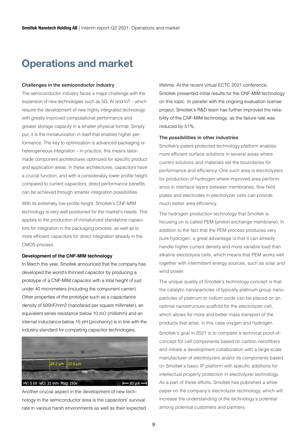### **Operations and market**

#### **Challenges in the semiconductor industry**

The semiconductor industry faces a major challenge with the expansion of new technologies such as 5G, AI and IoT – which require the development of new highly integrated technology with greatly improved computational performance and greater storage capacity in a smaller physical format. Simply put, it is the miniaturization in itself that enables higher performance. The key to optimization is advanced packaging or heterogeneous integration – in practice, this means tailormade component architectures optimized for specific product and application areas. In these architectures, capacitors have a crucial function, and with a considerably lower profile height compared to current capacitors, direct performance benefits can be achieved through smarter integration possibilities.

With its extremely low-profile height, Smoltek's CNF-MIM technology is very well positioned for the market's needs. This applies to the production of miniaturized standalone capacitors for integration in the packaging process, as well as to more efficient capacitors for direct integration already in the CMOS process.

#### **Development of the CNF-MIM technology**

In March this year, Smoltek announced that the company has developed the world's thinnest capacitor by producing a prototype of a CNF-MIM capacitor with a total height of just under 40 micrometers (including the component carrier). Other properties of the prototype such as a capacitance density of 500nF/mm2 (nanofarad per square millimeter), an equivalent series resistance below 10 mΩ (milliohm) and an internal inductance below 15 pH (picohenry) is in line with the industry standard for competing capacitor technologies.



Another crucial aspect in the development of new technology in the semiconductor area is the capacitors' survival rate in various harsh environments as well as their expected lifetime. At the recent virtual ECTC 2021 conference, Smoltek presented initial results for the CNF-MIM technology on this topic. In parallel with the ongoing evaluation license project, Smoltek's R&D team has further improved the reliability of the CNF-MIM technology, as the failure rate was reduced by 51%.

#### **The possibilities in other industries**

Smoltek's patent protected technology platform enables more efficient surface solutions in several areas where current solutions and materials set the boundaries for performance and efficiency. One such area is electrolyzers for production of hydrogen where improved area performance in interface layers between membranes, flow field plates and electrodes in electrolyzer cells can provide much better area efficiency.

The hydrogen production technology that Smoltek is focusing on is called PEM (proton exchange membrane). In addition to the fact that the PEM process produces very pure hydrogen, a great advantage is that it can already handle higher current density and more variable load than alkaline electrolysis cells, which means that PEM works well together with intermittent energy sources, such as solar and wind power.

The unique quality of Smoltek's technology concept is that the catalytic nanoparticles of typically platinum group nanoparticles of platinum or iridium oxide can be placed on an optimal nanostructure scaffold for the electrolyzer cell, which allows for more and better mass transport of the products that arise, in this case oxygen and hydrogen.

Smoltek's goal in 2021 is to complete a technical proof-ofconcept for cell components based on carbon nanofibers and initiate a development collaboration with a large-scale manufacturer of electrolyzers and/or its components based on Smoltek's basic IP platform with specific additions for intellectual property protection in electrolyzer technology. As a part of these efforts, Smoltek has published a white paper on the company's electrolyzer technology, which will increase the understanding of the technology's potential among potential customers and partners.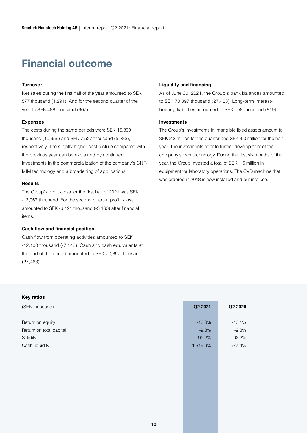### **Financial outcome**

#### **Turnover**

Net sales during the first half of the year amounted to SEK 577 thousand (1,291). And for the second quarter of the year to SEK 488 thousand (907).

#### **Expenses**

The costs during the same periods were SEK 15,309 thousand (10,956) and SEK 7,527 thousand (5,283), respectively. The slightly higher cost picture compared with the previous year can be explained by continued investments in the commercialization of the company's CNF-MIM technology and a broadening of applications.

#### **Results**

The Group's profit / loss for the first half of 2021 was SEK -13,067 thousand. For the second quarter, profit / loss amounted to SEK -6,121 thousand (-3,160) after financial items.

#### **Cash flow and financial position**

Cash flow from operating activities amounted to SEK -12,100 thousand (-7,148). Cash and cash equivalents at the end of the period amounted to SEK 70,897 thousand (27,463).

#### **Liquidity and financing**

As of June 30, 2021, the Group's bank balances amounted to SEK 70,897 thousand (27,463). Long-term interestbearing liabilities amounted to SEK 758 thousand (819).

#### **Investments**

The Group's investments in intangible fixed assets amount to SEK 2.3 million for the quarter and SEK 4.0 million for the half year. The investments refer to further development of the company's own technology. During the first six months of the year, the Group invested a total of SEK 1.5 million in equipment for laboratory operations. The CVD machine that was ordered in 2018 is now installed and put into use.

#### **Key ratios**

| (SEK thousand)          | Q2 2021  | Q2 2020  |
|-------------------------|----------|----------|
| Return on equity        | $-10.3%$ | $-10.1%$ |
| Return on total capital | $-9.8%$  | $-9.3%$  |
| Solidity                | 95.2%    | 92.2%    |
| Cash liquidity          | 1,319.9% | 577.4%   |
|                         |          |          |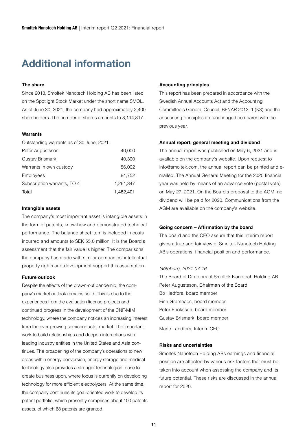### **Additional information**

#### **The share**

Since 2018, Smoltek Nanotech Holding AB has been listed on the Spotlight Stock Market under the short name SMOL. As of June 30, 2021, the company had approximately 2,400 shareholders. The number of shares amounts to 8,114,817.

#### **Warrants**

Outstanding warrants as of 30 June, 2021:

| Peter Augustsson            | 40,000    |
|-----------------------------|-----------|
| Gustav Brismark             | 40,300    |
| Warrants in own custody     | 56,002    |
| Employees                   | 84.752    |
| Subscription warrants, TO 4 | 1,261,347 |
| Total                       | 1,482,401 |

#### **Intangible assets**

The company's most important asset is intangible assets in the form of patents, know-how and demonstrated technical performance. The balance sheet item is included in costs incurred and amounts to SEK 55.0 million. It is the Board's assessment that the fair value is higher. The comparisons the company has made with similar companies' intellectual property rights and development support this assumption.

#### **Future outlook**

Despite the effects of the drawn-out pandemic, the company's market outlook remains solid. This is due to the experiences from the evaluation license projects and continued progress in the development of the CNF-MIM technology, where the company notices an increasing interest from the ever-growing semiconductor market. The important work to build relationships and deepen interactions with leading industry entities in the United States and Asia continues. The broadening of the company's operations to new areas within energy conversion, energy storage and medical technology also provides a stronger technological base to create business upon, where focus is currently on developing technology for more efficient electrolyzers. At the same time, the company continues its goal-oriented work to develop its patent portfolio, which presently comprises about 100 patents assets, of which 68 patents are granted.

#### **Accounting principles**

This report has been prepared in accordance with the Swedish Annual Accounts Act and the Accounting Committee's General Council, BFNAR 2012: 1 (K3) and the accounting principles are unchanged compared with the previous year.

#### **Annual report, general meeting and dividend**

The annual report was published on May 6, 2021 and is available on the company's website. Upon request to info@smoltek.com, the annual report can be printed and emailed. The Annual General Meeting for the 2020 financial year was held by means of an advance vote (postal vote) on May 27, 2021. On the Board's proposal to the AGM, no dividend will be paid for 2020. Communications from the AGM are available on the company's website.

#### **Going concern – Affirmation by the board**

The board and the CEO assure that this interim report gives a true and fair view of Smoltek Nanotech Holding AB's operations, financial position and performance.

#### *Göteborg, 2021-07-16*

The Board of Directors of Smoltek Nanotech Holding AB Peter Augustsson, Chairman of the Board Bo Hedfors, board member Finn Gramnaes, board member Peter Enoksson, board member Gustav Brismark, board member Marie Landfors, Interim CEO

#### **Risks and uncertainties**

Smoltek Nanotech Holding ABs earnings and financial position are affected by various risk factors that must be taken into account when assessing the company and its future potential. These risks are discussed in the annual report for 2020.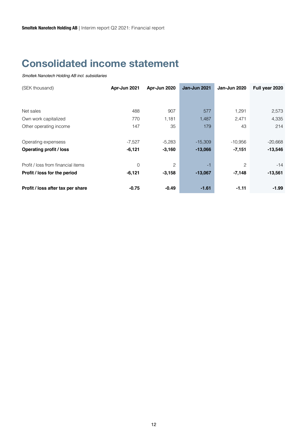### **Consolidated income statement**

| (SEK thousand)                     | Apr-Jun 2021   | Apr-Jun 2020 | Jan-Jun 2021 | Jan-Jun 2020 | Full year 2020 |
|------------------------------------|----------------|--------------|--------------|--------------|----------------|
|                                    |                |              |              |              |                |
| Net sales                          | 488            | 907          | 577          | 1,291        | 2,573          |
| Own work capitalized               | 770            | 1,181        | 1,487        | 2,471        | 4,335          |
| Other operating income             | 147            | 35           | 179          | 43           | 214            |
| Operating expensess                | $-7,527$       | $-5,283$     | $-15,309$    | $-10,956$    | $-20,668$      |
| <b>Operating profit / loss</b>     | $-6,121$       | $-3,160$     | $-13,066$    | $-7,151$     | $-13,546$      |
| Profit / loss from financial items | $\overline{0}$ | 2            | $-1$         | 2            | $-14$          |
| Profit / loss for the period       | $-6,121$       | $-3,158$     | $-13,067$    | $-7,148$     | $-13,561$      |
| Profit / loss after tax per share  | $-0.75$        | $-0.49$      | $-1.61$      | $-1.11$      | $-1.99$        |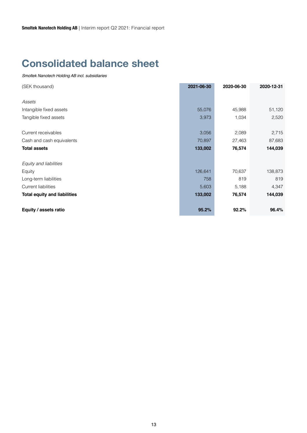### **Consolidated balance sheet**

| (SEK thousand)                      | 2021-06-30 | 2020-06-30 | 2020-12-31 |
|-------------------------------------|------------|------------|------------|
|                                     |            |            |            |
| Assets                              |            |            |            |
| Intangible fixed assets             | 55,076     | 45,988     | 51,120     |
| Tangible fixed assets               | 3,973      | 1,034      | 2,520      |
|                                     |            |            |            |
| Current receivables                 | 3,056      | 2,089      | 2,715      |
| Cash and cash equivalents           | 70,897     | 27,463     | 87,683     |
| <b>Total assets</b>                 | 133,002    | 76,574     | 144,039    |
|                                     |            |            |            |
| Equity and liabilities              |            |            |            |
| Equity                              | 126,641    | 70,637     | 138,873    |
| Long-term liabilities               | 758        | 819        | 819        |
| <b>Current liabilities</b>          | 5,603      | 5,188      | 4,347      |
| <b>Total equity and liabilities</b> | 133,002    | 76,574     | 144,039    |
|                                     |            |            |            |
| Equity / assets ratio               | 95.2%      | 92.2%      | 96.4%      |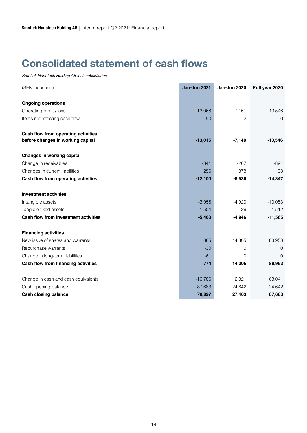### **Consolidated statement of cash flows**

| (SEK thousand)                       | Jan-Jun 2021 | Jan-Jun 2020 | Full year 2020 |
|--------------------------------------|--------------|--------------|----------------|
| <b>Ongoing operations</b>            |              |              |                |
| Operating profit / loss              | $-13,066$    | $-7,151$     | $-13,546$      |
| Items not affecting cash flow        | 50           | 2            | 0              |
| Cash flow from operating activities  |              |              |                |
| before changes in working capital    | $-13,015$    | $-7,148$     | $-13,546$      |
| Changes in working capital           |              |              |                |
| Change in receivables                | $-341$       | $-267$       | $-894$         |
| Changes in current liabilities       | 1,256        | 878          | 93             |
| Cash flow from operating activities  | $-12,100$    | $-6,538$     | $-14,347$      |
| <b>Investment activities</b>         |              |              |                |
| Intangible assets                    | $-3,956$     | $-4,920$     | $-10,053$      |
| Tangible fixed assets                | $-1,504$     | 26           | $-1,512$       |
| Cash flow from investment activities | $-5,460$     | $-4,946$     | $-11,565$      |
| <b>Financing activities</b>          |              |              |                |
| New issue of shares and warrants     | 865          | 14,305       | 88,953         |
| Repurchase warrants                  | $-30$        | 0            | 0              |
| Change in long-term liabilities      | $-61$        | 0            | $\overline{0}$ |
| Cash flow from financing activities  | 774          | 14,305       | 88,953         |
| Change in cash and cash equivalents  | $-16,786$    | 2,821        | 63,041         |
| Cash opening balance                 | 87,683       | 24,642       | 24,642         |
| <b>Cash closing balance</b>          | 70,897       | 27,463       | 87,683         |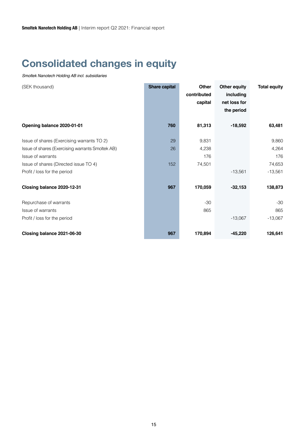### **Consolidated changes in equity**

| (SEK thousand)                                   | <b>Share capital</b> | <b>Other</b> | <b>Other equity</b> | <b>Total equity</b> |
|--------------------------------------------------|----------------------|--------------|---------------------|---------------------|
|                                                  |                      | contributed  | including           |                     |
|                                                  |                      | capital      | net loss for        |                     |
|                                                  |                      |              | the period          |                     |
|                                                  |                      |              |                     |                     |
| Opening balance 2020-01-01                       | 760                  | 81,313       | $-18,592$           | 63,481              |
|                                                  |                      |              |                     |                     |
| Issue of shares (Exercising warrants TO 2)       | 29                   | 9,831        |                     | 9,860               |
| Issue of shares (Exercising warrants Smoltek AB) | 26                   | 4,238        |                     | 4,264               |
| Issue of warrants                                |                      | 176          |                     | 176                 |
| Issue of shares (Directed issue TO 4)            | 152                  | 74,501       |                     | 74,653              |
| Profit / loss for the period                     |                      |              | $-13,561$           | $-13,561$           |
|                                                  |                      |              |                     |                     |
| Closing balance 2020-12-31                       | 967                  | 170,059      | $-32,153$           | 138,873             |
| Repurchase of warrants                           |                      | $-30$        |                     | $-30$               |
| Issue of warrants                                |                      | 865          |                     | 865                 |
| Profit / loss for the period                     |                      |              | $-13,067$           | $-13,067$           |
|                                                  |                      |              |                     |                     |
| Closing balance 2021-06-30                       | 967                  | 170,894      | $-45,220$           | 126,641             |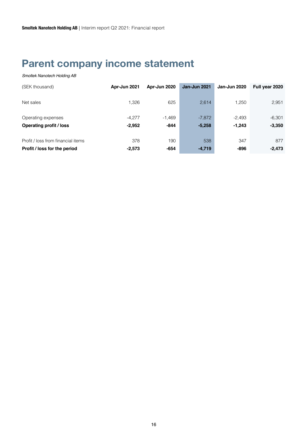### **Parent company income statement**

| (SEK thousand)                     | Apr-Jun 2021 | Apr-Jun 2020 | Jan-Jun 2021 | <b>Jan-Jun 2020</b> | Full year 2020 |
|------------------------------------|--------------|--------------|--------------|---------------------|----------------|
| Net sales                          | 1.326        | 625          | 2,614        | 1.250               | 2,951          |
| Operating expenses                 | $-4.277$     | $-1,469$     | $-7,872$     | $-2.493$            | $-6.301$       |
| <b>Operating profit / loss</b>     | $-2,952$     | $-844$       | $-5,258$     | $-1,243$            | $-3,350$       |
| Profit / loss from financial items | 378          | 190          | 538          | 347                 | 877            |
| Profit / loss for the period       | $-2,573$     | -654         | $-4,719$     | -896                | $-2,473$       |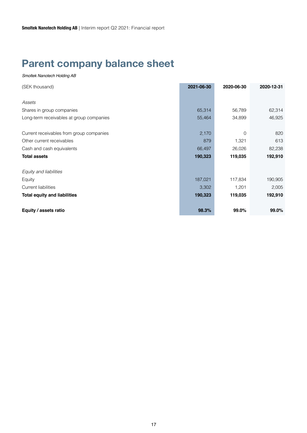### **Parent company balance sheet**

| (SEK thousand)                           | 2021-06-30 | 2020-06-30 | 2020-12-31 |
|------------------------------------------|------------|------------|------------|
|                                          |            |            |            |
| Assets                                   |            |            |            |
| Shares in group companies                | 65,314     | 56,789     | 62,314     |
| Long-term receivables at group companies | 55,464     | 34,899     | 46,925     |
|                                          |            |            |            |
| Current receivables from group companies | 2,170      | $\Omega$   | 820        |
| Other current receivables                | 879        | 1,321      | 613        |
| Cash and cash equivalents                | 66,497     | 26,026     | 82,238     |
| <b>Total assets</b>                      | 190,323    | 119,035    | 192,910    |
| Equity and liabilities                   |            |            |            |
| Equity                                   | 187,021    | 117,834    | 190,905    |
| <b>Current liabilities</b>               | 3,302      | 1,201      | 2,005      |
| <b>Total equity and liabilities</b>      | 190,323    | 119,035    | 192,910    |
| Equity / assets ratio                    | 98.3%      | 99.0%      | 99.0%      |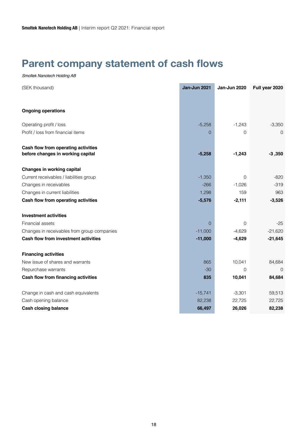### **Parent company statement of cash flows**

| (SEK thousand)                              | <b>Jan-Jun 2021</b> | Jan-Jun 2020   | Full year 2020 |
|---------------------------------------------|---------------------|----------------|----------------|
|                                             |                     |                |                |
| <b>Ongoing operations</b>                   |                     |                |                |
| Operating profit / loss                     | $-5,258$            | $-1,243$       | $-3,350$       |
| Profit / loss from financial items          | $\Omega$            | 0              | $\Omega$       |
| Cash flow from operating activities         |                     |                |                |
| before changes in working capital           | $-5,258$            | $-1,243$       | $-3,350$       |
| <b>Changes in working capital</b>           |                     |                |                |
| Current receivables / liabilities group     | $-1,350$            | $\overline{0}$ | $-820$         |
| Changes in receivables                      | $-266$              | $-1,026$       | $-319$         |
| Changes in current liabilities              | 1,298               | 159            | 963            |
| Cash flow from operating activities         | $-5,576$            | $-2,111$       | $-3,526$       |
| <b>Investment activities</b>                |                     |                |                |
| Financial assets                            | $\Omega$            | $\Omega$       | $-25$          |
| Changes in receivables from group companies | $-11,000$           | $-4,629$       | $-21,620$      |
| Cash flow from investment activities        | $-11,000$           | $-4,629$       | $-21,645$      |
| <b>Financing activities</b>                 |                     |                |                |
| New issue of shares and warrants            | 865                 | 10,041         | 84,684         |
| Repurchase warrants                         | $-30$               | $\overline{0}$ | $\overline{0}$ |
| Cash flow from financing activities         | 835                 | 10,041         | 84,684         |
| Change in cash and cash equivalents         | $-15,741$           | $-3,301$       | 59,513         |
| Cash opening balance                        | 82,238              | 22,725         | 22,725         |
| <b>Cash closing balance</b>                 | 66,497              | 26,026         | 82,238         |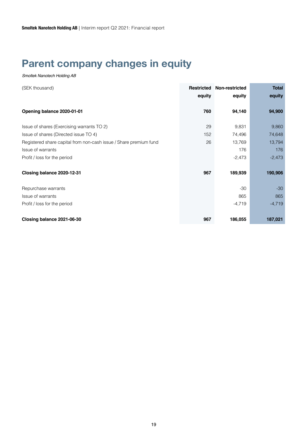### **Parent company changes in equity**

| (SEK thousand)                                                    | <b>Restricted</b><br>equity | Non-restricted<br>equity | <b>Total</b><br>equity |
|-------------------------------------------------------------------|-----------------------------|--------------------------|------------------------|
|                                                                   |                             |                          |                        |
| Opening balance 2020-01-01                                        | 760                         | 94,140                   | 94,900                 |
| Issue of shares (Exercising warrants TO 2)                        | 29                          | 9,831                    | 9,860                  |
| Issue of shares (Directed issue TO 4)                             | 152                         | 74,496                   | 74,648                 |
| Registered share capital from non-cash issue / Share premium fund | 26                          | 13,769                   | 13,794                 |
| Issue of warrants                                                 |                             | 176                      | 176                    |
| Profit / loss for the period                                      |                             | $-2,473$                 | $-2,473$               |
| Closing balance 2020-12-31                                        | 967                         | 189,939                  | 190,906                |
| Repurchase warrants                                               |                             | $-30$                    | $-30$                  |
| Issue of warrants                                                 |                             | 865                      | 865                    |
| Profit / loss for the period                                      |                             | $-4,719$                 | $-4,719$               |
| Closing balance 2021-06-30                                        | 967                         | 186,055                  | 187,021                |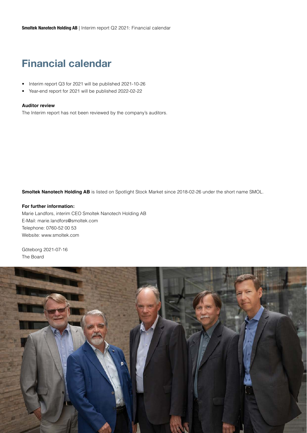### **Financial calendar**

- Interim report Q3 for 2021 will be published 2021-10-26
- Year-end report for 2021 will be published 2022-02-22

#### **Auditor review**

The Interim report has not been reviewed by the company's auditors.

**Smoltek Nanotech Holding AB** is listed on Spotlight Stock Market since 2018-02-26 under the short name SMOL.

#### **For further information:**

Marie Landfors, interim CEO Smoltek Nanotech Holding AB E-Mail: marie.landfors@smoltek.com Telephone: 0760-52 00 53 Website: www.smoltek.com

Göteborg 2021-07-16 The Board